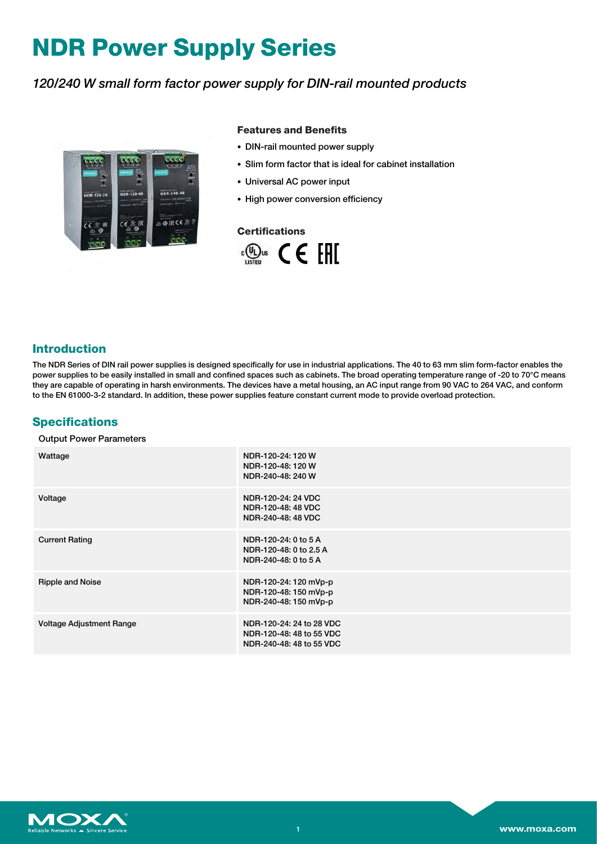# **NDR Power Supply Series**

## *120/240 W small form factor power supply for DIN-rail mounted products*



#### **Features and Benefits**

- DIN-rail mounted power supply
- Slim form factor that is ideal for cabinet installation
- Universal AC power input
- High power conversion efficiency



#### **Introduction**

The NDR Series of DIN rail power supplies is designed specifically for use in industrial applications. The 40 to 63 mm slim form-factor enables the power supplies to be easily installed in small and confined spaces such as cabinets. The broad operating temperature range of -20 to 70°C means they are capable of operating in harsh environments. The devices have a metal housing, an AC input range from 90 VAC to 264 VAC, and conform to the EN 61000-3-2 standard. In addition, these power supplies feature constant current mode to provide overload protection.

#### **Specifications**

#### Output Power Parameters

| Wattage                         | NDR-120-24: 120 W<br>NDR-120-48: 120 W<br>NDR-240-48: 240 W                      |
|---------------------------------|----------------------------------------------------------------------------------|
| Voltage                         | NDR-120-24: 24 VDC<br>NDR-120-48: 48 VDC<br>NDR-240-48: 48 VDC                   |
| <b>Current Rating</b>           | NDR-120-24: 0 to 5 A<br>NDR-120-48: 0 to 2.5 A<br>NDR-240-48: 0 to 5 A           |
| <b>Ripple and Noise</b>         | NDR-120-24: 120 mVp-p<br>NDR-120-48: 150 mVp-p<br>NDR-240-48: 150 mVp-p          |
| <b>Voltage Adjustment Range</b> | NDR-120-24: 24 to 28 VDC<br>NDR-120-48: 48 to 55 VDC<br>NDR-240-48: 48 to 55 VDC |

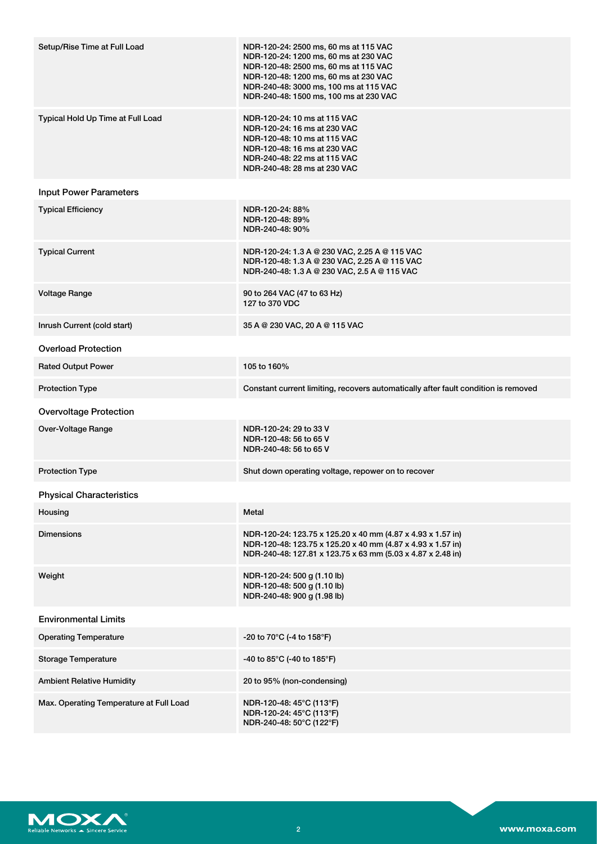| Setup/Rise Time at Full Load            | NDR-120-24: 2500 ms, 60 ms at 115 VAC<br>NDR-120-24: 1200 ms, 60 ms at 230 VAC<br>NDR-120-48: 2500 ms, 60 ms at 115 VAC<br>NDR-120-48: 1200 ms, 60 ms at 230 VAC<br>NDR-240-48: 3000 ms, 100 ms at 115 VAC<br>NDR-240-48: 1500 ms, 100 ms at 230 VAC |  |  |
|-----------------------------------------|------------------------------------------------------------------------------------------------------------------------------------------------------------------------------------------------------------------------------------------------------|--|--|
| Typical Hold Up Time at Full Load       | NDR-120-24: 10 ms at 115 VAC<br>NDR-120-24: 16 ms at 230 VAC<br>NDR-120-48: 10 ms at 115 VAC<br>NDR-120-48: 16 ms at 230 VAC<br>NDR-240-48: 22 ms at 115 VAC<br>NDR-240-48: 28 ms at 230 VAC                                                         |  |  |
| <b>Input Power Parameters</b>           |                                                                                                                                                                                                                                                      |  |  |
| <b>Typical Efficiency</b>               | NDR-120-24: 88%<br>NDR-120-48: 89%<br>NDR-240-48: 90%                                                                                                                                                                                                |  |  |
| <b>Typical Current</b>                  | NDR-120-24: 1.3 A @ 230 VAC, 2.25 A @ 115 VAC<br>NDR-120-48: 1.3 A @ 230 VAC, 2.25 A @ 115 VAC<br>NDR-240-48: 1.3 A @ 230 VAC, 2.5 A @ 115 VAC                                                                                                       |  |  |
| <b>Voltage Range</b>                    | 90 to 264 VAC (47 to 63 Hz)<br>127 to 370 VDC                                                                                                                                                                                                        |  |  |
| Inrush Current (cold start)             | 35 A @ 230 VAC, 20 A @ 115 VAC                                                                                                                                                                                                                       |  |  |
| <b>Overload Protection</b>              |                                                                                                                                                                                                                                                      |  |  |
| <b>Rated Output Power</b>               | 105 to 160%                                                                                                                                                                                                                                          |  |  |
| <b>Protection Type</b>                  | Constant current limiting, recovers automatically after fault condition is removed                                                                                                                                                                   |  |  |
| <b>Overvoltage Protection</b>           |                                                                                                                                                                                                                                                      |  |  |
| Over-Voltage Range                      | NDR-120-24: 29 to 33 V<br>NDR-120-48: 56 to 65 V<br>NDR-240-48: 56 to 65 V                                                                                                                                                                           |  |  |
| <b>Protection Type</b>                  | Shut down operating voltage, repower on to recover                                                                                                                                                                                                   |  |  |
| <b>Physical Characteristics</b>         |                                                                                                                                                                                                                                                      |  |  |
| Housing                                 | Metal                                                                                                                                                                                                                                                |  |  |
| <b>Dimensions</b>                       | NDR-120-24: 123.75 x 125.20 x 40 mm (4.87 x 4.93 x 1.57 in)<br>NDR-120-48: 123.75 x 125.20 x 40 mm (4.87 x 4.93 x 1.57 in)<br>NDR-240-48: 127.81 x 123.75 x 63 mm (5.03 x 4.87 x 2.48 in)                                                            |  |  |
| Weight                                  | NDR-120-24: 500 g (1.10 lb)<br>NDR-120-48: 500 g (1.10 lb)<br>NDR-240-48: 900 g (1.98 lb)                                                                                                                                                            |  |  |
| <b>Environmental Limits</b>             |                                                                                                                                                                                                                                                      |  |  |
| <b>Operating Temperature</b>            | -20 to 70°C (-4 to 158°F)                                                                                                                                                                                                                            |  |  |
| <b>Storage Temperature</b>              | -40 to 85°C (-40 to 185°F)                                                                                                                                                                                                                           |  |  |
| <b>Ambient Relative Humidity</b>        | 20 to 95% (non-condensing)                                                                                                                                                                                                                           |  |  |
| Max. Operating Temperature at Full Load | NDR-120-48: 45°C (113°F)<br>NDR-120-24: 45°C (113°F)<br>NDR-240-48: 50°C (122°F)                                                                                                                                                                     |  |  |

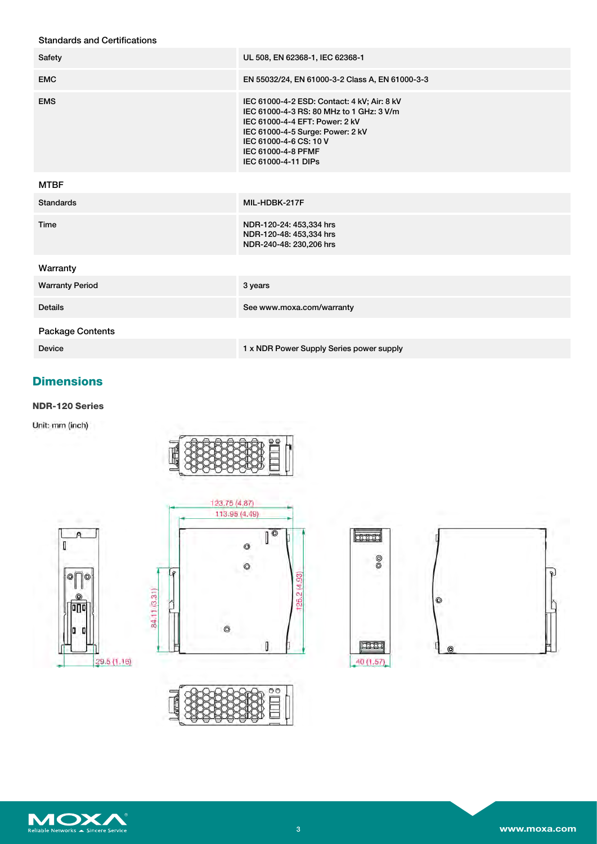#### Standards and Certifications

| Safety                  | UL 508, EN 62368-1, IEC 62368-1                                                                                                                                                                                                      |  |  |  |
|-------------------------|--------------------------------------------------------------------------------------------------------------------------------------------------------------------------------------------------------------------------------------|--|--|--|
| <b>EMC</b>              | EN 55032/24, EN 61000-3-2 Class A, EN 61000-3-3                                                                                                                                                                                      |  |  |  |
| <b>EMS</b>              | IEC 61000-4-2 ESD: Contact: 4 kV; Air: 8 kV<br>IEC 61000-4-3 RS: 80 MHz to 1 GHz: 3 V/m<br>IEC 61000-4-4 EFT: Power: 2 kV<br>IEC 61000-4-5 Surge: Power: 2 kV<br>IEC 61000-4-6 CS: 10 V<br>IEC 61000-4-8 PFMF<br>IEC 61000-4-11 DIPs |  |  |  |
| <b>MTBF</b>             |                                                                                                                                                                                                                                      |  |  |  |
| <b>Standards</b>        | MIL-HDBK-217F                                                                                                                                                                                                                        |  |  |  |
| Time                    | NDR-120-24: 453,334 hrs<br>NDR-120-48: 453,334 hrs<br>NDR-240-48: 230,206 hrs                                                                                                                                                        |  |  |  |
| Warranty                |                                                                                                                                                                                                                                      |  |  |  |
| <b>Warranty Period</b>  | 3 years                                                                                                                                                                                                                              |  |  |  |
| <b>Details</b>          | See www.moxa.com/warranty                                                                                                                                                                                                            |  |  |  |
| <b>Package Contents</b> |                                                                                                                                                                                                                                      |  |  |  |
| Device                  | 1 x NDR Power Supply Series power supply                                                                                                                                                                                             |  |  |  |

### **Dimensions**

#### **NDR-120 Series**

Unit: mm (inch)